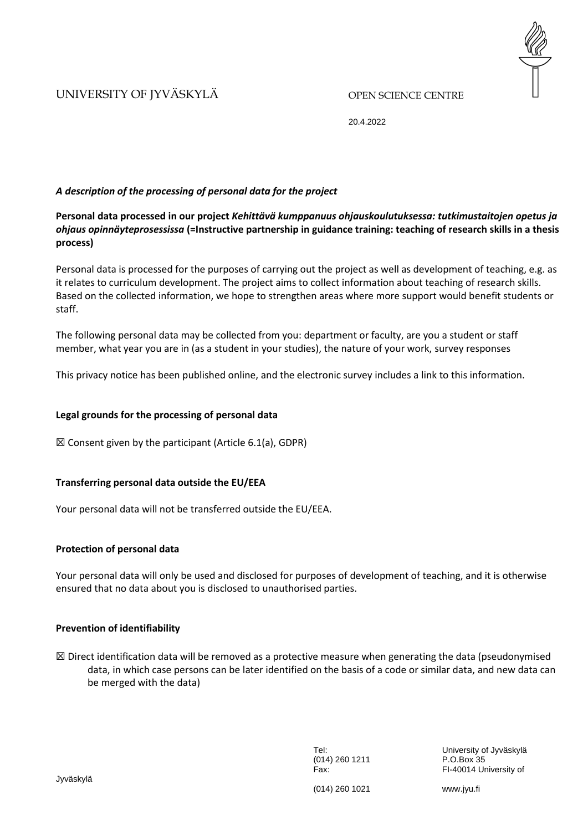# UNIVERSITY OF JYVÄSKYLÄ

#### OPEN SCIENCE CENTRE

20.4.2022

### *A description of the processing of personal data for the project*

### **Personal data processed in our project** *Kehittävä kumppanuus ohjauskoulutuksessa: tutkimustaitojen opetus ja ohjaus opinnäyteprosessissa* **(=Instructive partnership in guidance training: teaching of research skills in a thesis process)**

Personal data is processed for the purposes of carrying out the project as well as development of teaching, e.g. as it relates to curriculum development. The project aims to collect information about teaching of research skills. Based on the collected information, we hope to strengthen areas where more support would benefit students or staff.

The following personal data may be collected from you: department or faculty, are you a student or staff member, what year you are in (as a student in your studies), the nature of your work, survey responses

This privacy notice has been published online, and the electronic survey includes a link to this information.

### **Legal grounds for the processing of personal data**

 $\boxtimes$  Consent given by the participant (Article 6.1(a), GDPR)

### **Transferring personal data outside the EU/EEA**

Your personal data will not be transferred outside the EU/EEA.

### **Protection of personal data**

Your personal data will only be used and disclosed for purposes of development of teaching, and it is otherwise ensured that no data about you is disclosed to unauthorised parties.

### **Prevention of identifiability**

☒ Direct identification data will be removed as a protective measure when generating the data (pseudonymised data, in which case persons can be later identified on the basis of a code or similar data, and new data can be merged with the data)

(014) 260 1211 P.O.Box 35

Tel: University of Jyväskylä Fax: FI-40014 University of

Jyväskylä

(014) 260 1021 www.jyu.fi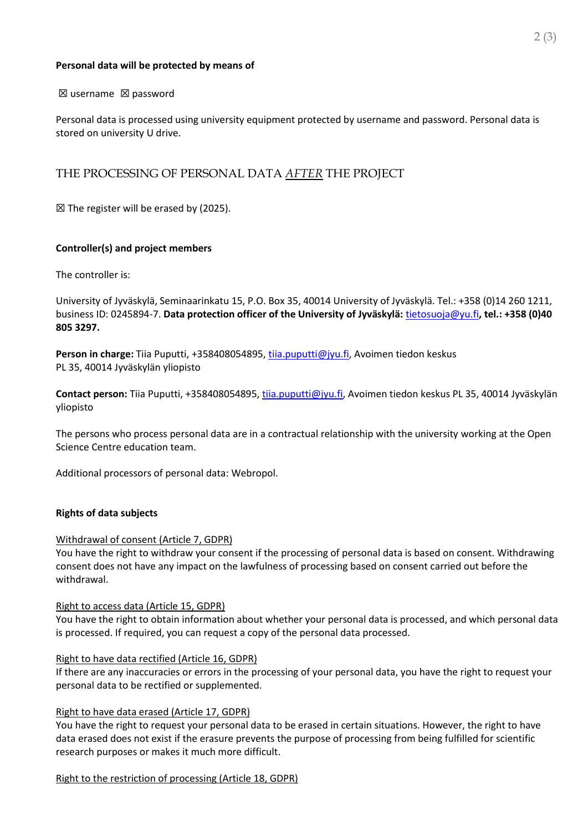### **Personal data will be protected by means of**

### $\boxtimes$  username  $\boxtimes$  password

Personal data is processed using university equipment protected by username and password. Personal data is stored on university U drive.

## THE PROCESSING OF PERSONAL DATA *AFTER* THE PROJECT

 $\boxtimes$  The register will be erased by (2025).

### **Controller(s) and project members**

The controller is:

University of Jyväskylä, Seminaarinkatu 15, P.O. Box 35, 40014 University of Jyväskylä. Tel.: +358 (0)14 260 1211, business ID: 0245894-7. **Data protection officer of the University of Jyväskylä:** [tietosuoja@yu.fi](mailto:tietosuoja@jyu.fi)**, tel.: +358 (0)40 805 3297.** 

**Person in charge:** Tiia Puputti, +358408054895, [tiia.puputti@jyu.fi,](mailto:tiia.puputti@jyu.fi) Avoimen tiedon keskus PL 35, 40014 Jyväskylän yliopisto

**Contact person:** Tiia Puputti, +358408054895[, tiia.puputti@jyu.fi,](mailto:tiia.puputti@jyu.fi) Avoimen tiedon keskus PL 35, 40014 Jyväskylän yliopisto

The persons who process personal data are in a contractual relationship with the university working at the Open Science Centre education team.

Additional processors of personal data: Webropol.

### **Rights of data subjects**

### Withdrawal of consent (Article 7, GDPR)

You have the right to withdraw your consent if the processing of personal data is based on consent. Withdrawing consent does not have any impact on the lawfulness of processing based on consent carried out before the withdrawal.

### Right to access data (Article 15, GDPR)

You have the right to obtain information about whether your personal data is processed, and which personal data is processed. If required, you can request a copy of the personal data processed.

### Right to have data rectified (Article 16, GDPR)

If there are any inaccuracies or errors in the processing of your personal data, you have the right to request your personal data to be rectified or supplemented.

### Right to have data erased (Article 17, GDPR)

You have the right to request your personal data to be erased in certain situations. However, the right to have data erased does not exist if the erasure prevents the purpose of processing from being fulfilled for scientific research purposes or makes it much more difficult.

Right to the restriction of processing (Article 18, GDPR)